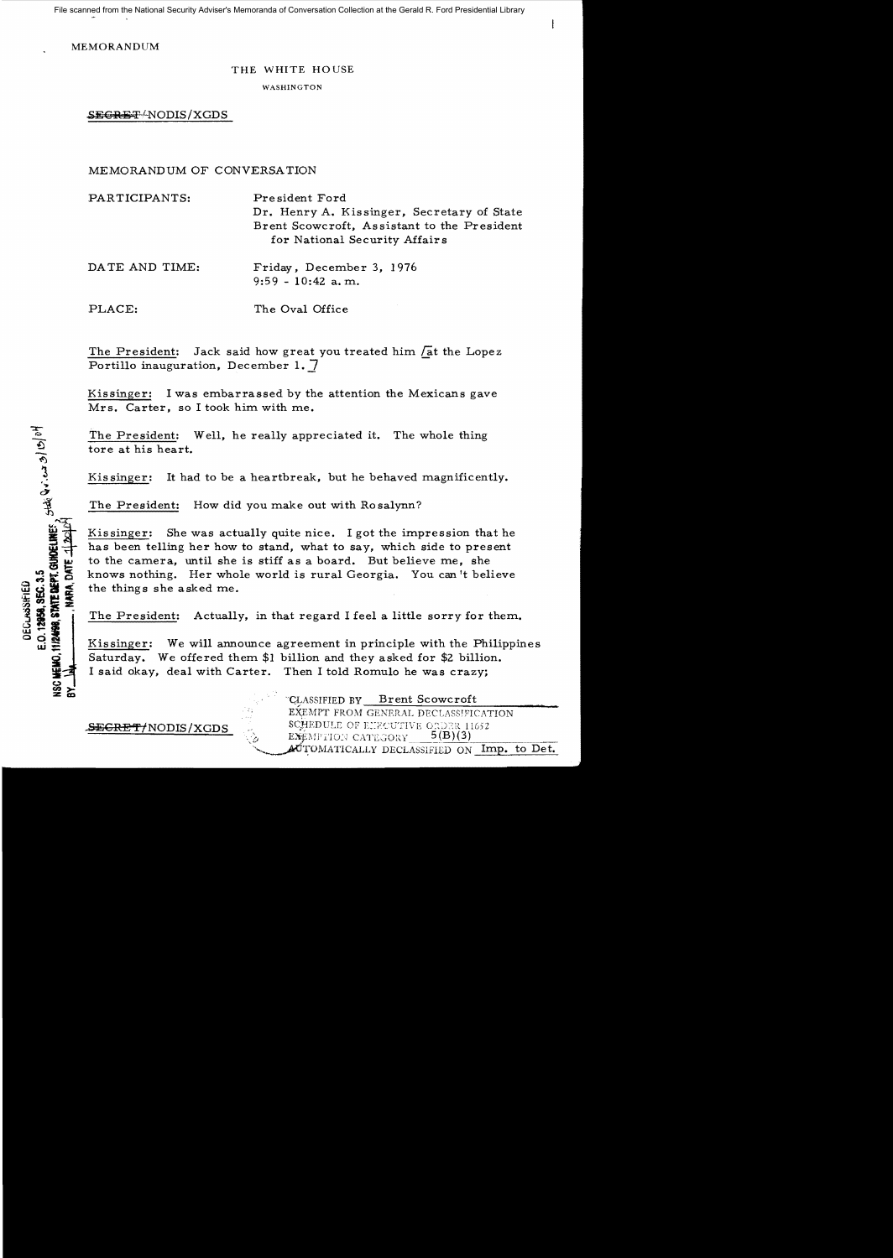File scanned from the National Security Adviser's Memoranda of Conversation Collection at the Gerald R. Ford Presidential Library

ł

MEMORANDUM

## THE WHITE HOUSE

WASHINGTON

SEGRET-NODIS/XGDS

## MEMORANDUM OF CONVERSATION

| PARTICIPANTS:  | President Ford<br>Dr. Henry A. Kissinger, Secretary of State<br>Brent Scowcroft, Assistant to the President<br>for National Security Affairs |
|----------------|----------------------------------------------------------------------------------------------------------------------------------------------|
| DATE AND TIME: | Friday, December 3, 1976<br>$9:59 - 10:42$ a.m.                                                                                              |
| PLACE:         | The Oval Office                                                                                                                              |

The President: Jack said how great you treated him  $\sqrt{a}t$  the Lopez Portillo inauguration, December 1. 7

Kissinger: I was embarrassed by the attention the Mexicans gave Mrs. Carter, so I took him with me.

The President: Well, he really appreciated it. The whole thing tore at his heart.

Kissinger: It had to be a heartbreak, but he behaved magnificently.

The President: How did you make out with Rosalynn?

Kissinger: She was actually quite nice. I got the impression that he has been telling her how to stand, what to say, which side to present to the camera, until she is stiff as a board. But believe me, she knows nothing. Her whole world is rural Georgia. You can 't believe the things she asked me.

The President: Actually, in that regard I feel a little sorry for them.

Kissinger: We will announce agreement in principle with the Philippines Saturday. We offered them \$1 billion and they asked for \$2 billion. I said okay, deal with Carter. Then I told Romulo he was crazy;

"CLASSIFIED BY Brent Scowcroft EXEMPT FROM GENERAL DECLASSIFICATION  $\frac{\text{SEGREF/NODIS/XGDS}}{\text{E}\text{X}}$  . SCHEDULE OF EIRCUTIVE ORDER 11652  $\;$  EX£MPTION CATEGORY AUTOMATICALLY DECLASSIFIED ON Imp. to Det.

ت 2012 من 12956. 1.5<br>2.0. 12958, STATE DEPT. GUNDELINES بخطئو هونه دسته ج) ای او ا<br>این بن الله بن الله ها بن الله من الله الله الله من الله الله من الله الله من الله الله من الله الله من الله ا DECLASSIFIED UEWO. **USCI** ≿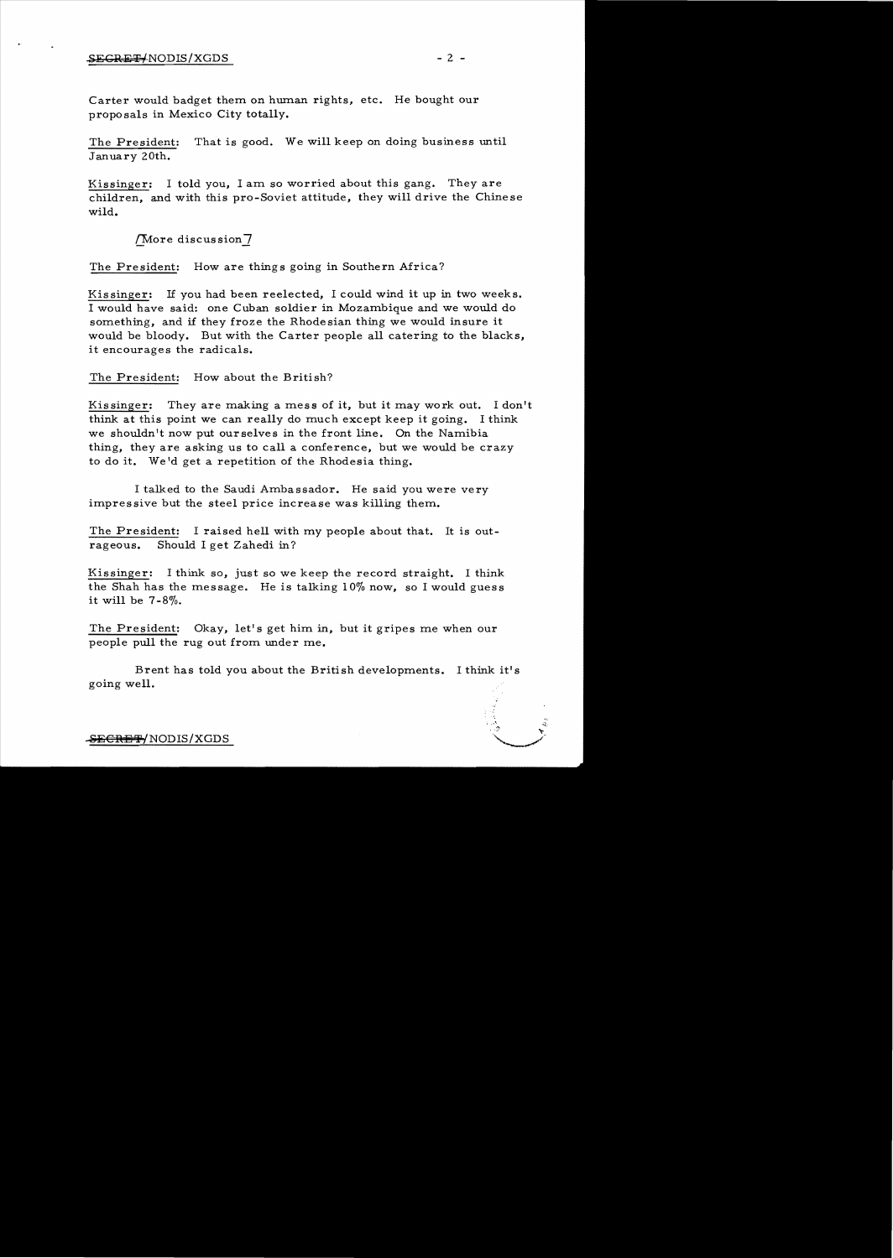## $2$   $2$   $2$   $2$   $2$   $2$   $2$   $2$   $-$

Carter would badget them on human rights, etc. He bought our proposals in Mexico City totally.

The President: That is good. We will keep on doing business until January 20th.

Kissinger: I told you, I am so worried about this gang. They are children, and with this pro-Soviet attitude, they will drive the Chinese wild.

{'More discussion**7** 

The President: How are things going in Southern Africa?

Kissinger: If you had been reelected, I could wind it up in two weeks. I would have said: one Cuban soldier in Mozambique and we would do something, and if they froze the Rhodesian thing we would insure it would be bloody. But with the Carter people all catering to the blacks, it encourages the radicals.

The President: How about the British?

Kissinger: They are making a mess of it, but it may work out. I don't think at this point we can really do much except keep it going. I think we shouldn't now put ourselves in the front line. On the Namibia thing, they are asking us to call a conference, but we would be crazy to do it. We'd get a repetition of the Rhodesia thing.

I talked to the Saudi Ambassador. He said you were very impressive but the steel price increase was killing them.

The President: I raised hell with my people about that. It is outrageous. Should I get Zahedi in?

Kissinger: I think so, just so we keep the record straight. I think the Shah has the message. He is talking 10% now, so I would guess it will be  $7-8\%$ .

The President: Okay, let's get him in, but it gripes me when our people pull the rug out from under me.

Brent has told you about the British developments. I think it's going well.

 $\mathbb{R}^2 \times \mathbb{R}^2$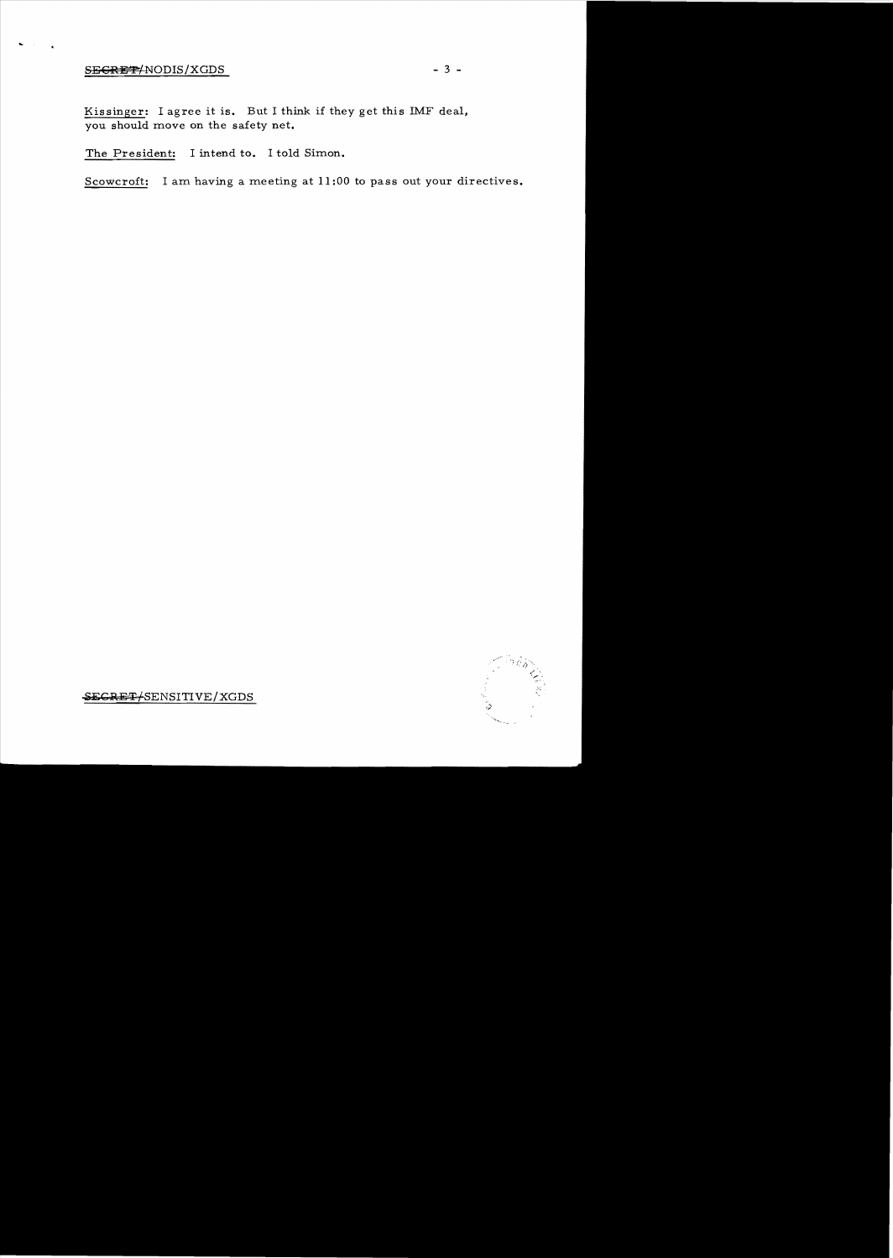## $S<sub>B</sub>**G**<sub>R</sub>**E**<sup>T</sup>$ <sup>NODIS/XGDS - 3 -</sup>

...

Kissinger: I agree it is. But I think if they get this IMF deal, you should move on the safety net.

The President: I intend to. I told Simon.

Scowcroft: I am having a meeting at 11 :00 to pass out your directives.



SECRET/SENSITIVE/XGDS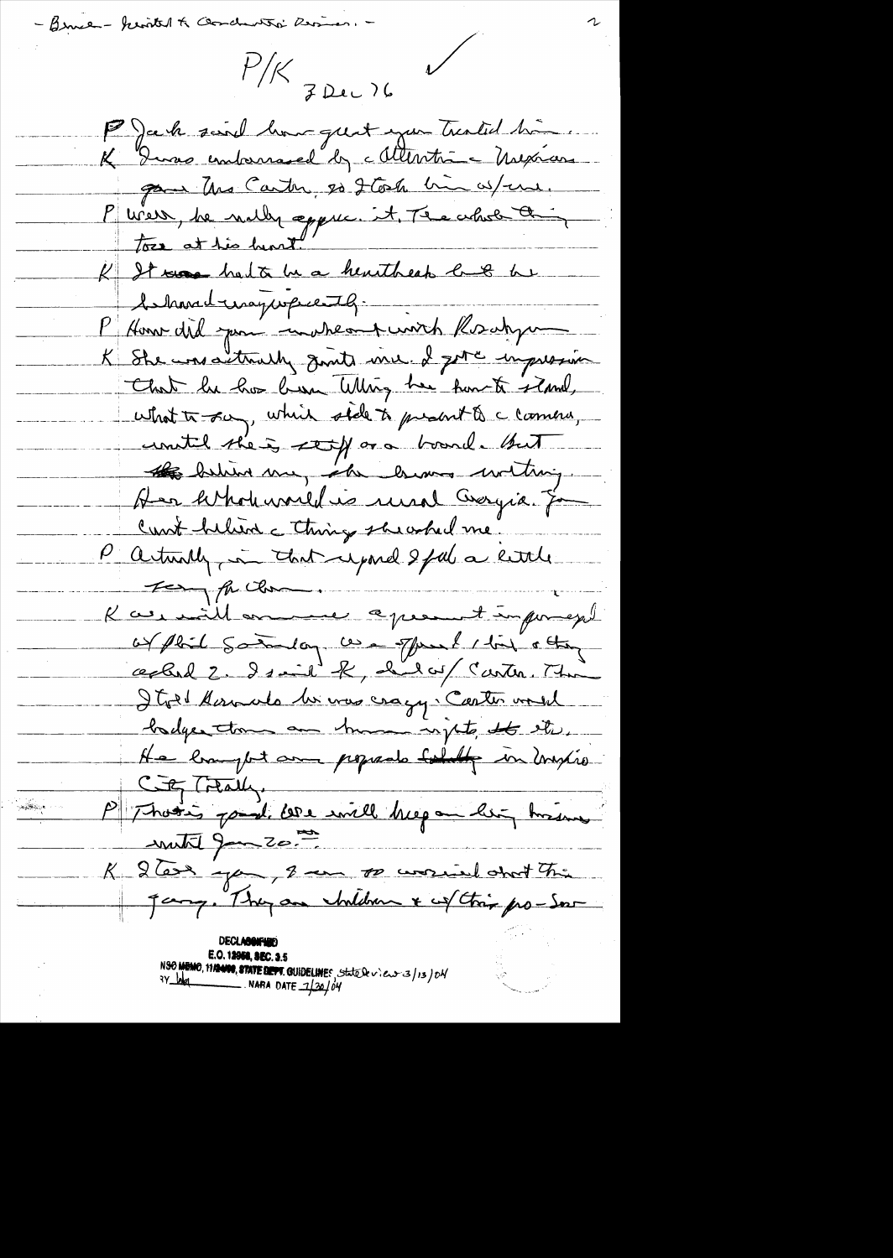- Bruce - kerited to Gondanto' Resiser. -

 $P/K$  z Dec 76

 $\bigvee$ 

P) ack said home quit you treated time. K Duras embarrased by Mentre Mexican par Uns Carter, es 2 Coste bin as/ene. P vier, le nulle appric. it Te achet a K It was had to be a heartbeak last be behavedringwere 79. P Home did juni impresent unich Koschyum K She was actually goods will I get a impression That he has been Whing her functi showl, what to say, which side to present to a common, united the is stoff or a board. But 18 helin me, als home withing Her hthohanald is unal Georgia. Ja Cant helien c things she when me. P arturally, in that upond 2 feel a little For the Chan. K as will ensuine apresent imposes of phil someon come offered this other cephal 2. Isaid K, hilay Carter. The Itot Kanado la vous craqy. Caster voul hadges them an human rights, the star He limpt am popado boldy in mylio City Treatly. P Those paul core will began ler hisse  $\frac{1}{2}$  and  $\frac{1}{2}$ K 2 Tax que, 2 un pouvoient chat che E.O. 12958, SEC. 3.5 NSO MEMO, 11/2000, STATE DEPT. GUIDELINES, State Se view 3/13/04  $3Y_{100}$  NARA DATE  $7/30/04$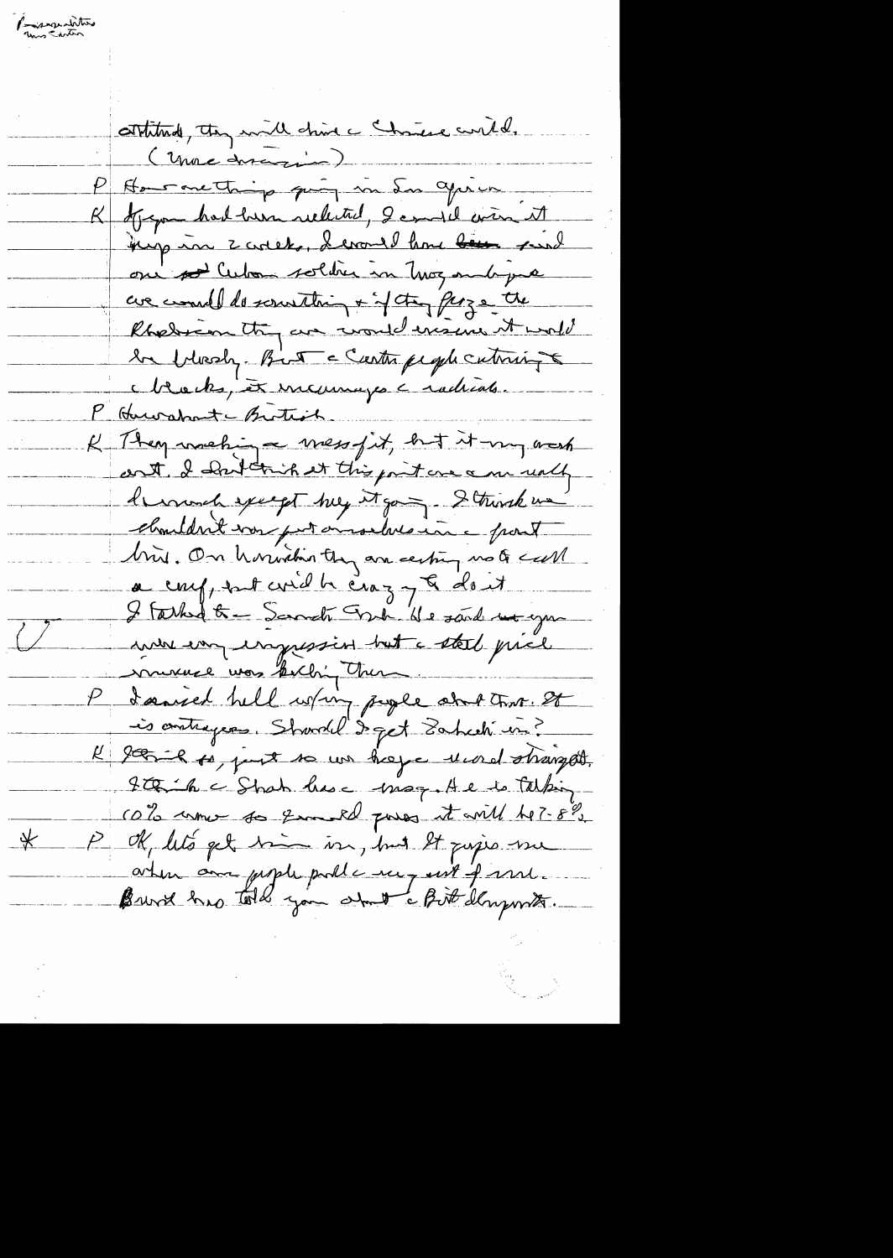Programatitive contitude, they will chine change with. ( Unac discretion) Hour mething quinq in Sur aprico K Argon had hun related, I could win it bij in zoolet, devant home been surel on sollitan soldier in thoughout pure un concelled sourthing + of the perze the Rhedrian try an world ensure it would 2a blossly. But a Castra people cutinize Mocks, et incurreyes a radicates. P Hurshatchrite. K They making a mess fit, but it my noch cont I has this it this point one am undly hermal except me top and Strink un charldn't vou par ausselves une pout Min. On houristin they are esting no to sull a conf, ent coid h craz y & dont I tarked to - Samati Fredrik e sand me you mon employessin but a stal price murie was furching them. P daniel hell whin paper and that. It is contrages. Showdel & get Sahech in? R 2005-le 10, point so un hoya une distingat. Itaih a Shah has a mag He is talking cato umo so quand poss it will be? 8%.  $-\frac{1}{2}$ PM, let's get bin in, but It pujes une aten au peple public me ent pare